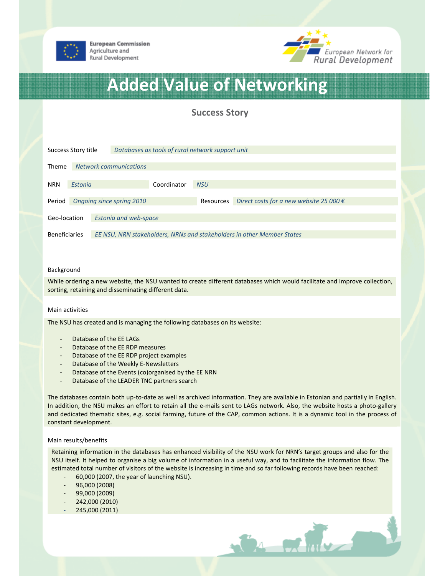

**European Commission** Agriculture and Rural Development



# Added Value of Networking

# Success Story

| Success Story title  |         |                                                                        | Databases as tools of rural network support unit |            |                                                  |  |
|----------------------|---------|------------------------------------------------------------------------|--------------------------------------------------|------------|--------------------------------------------------|--|
| Theme                |         | <b>Network communications</b>                                          |                                                  |            |                                                  |  |
| <b>NRN</b>           | Estonia | Coordinator                                                            |                                                  | <b>NSU</b> |                                                  |  |
| Period               |         | Ongoing since spring 2010                                              |                                                  | Resources  | Direct costs for a new website 25 000 $\epsilon$ |  |
| Geo-location         |         | <b>Estonia and web-space</b>                                           |                                                  |            |                                                  |  |
| <b>Beneficiaries</b> |         | EE NSU, NRN stakeholders, NRNs and stakeholders in other Member States |                                                  |            |                                                  |  |

#### Background

While ordering a new website, the NSU wanted to create different databases which would facilitate and improve collection, sorting, retaining and disseminating different data.

#### Main activities

The NSU has created and is managing the following databases on its website:

- Database of the FF LAGs
- Database of the EE RDP measures
- Database of the EE RDP project examples
- Database of the Weekly E-Newsletters
- Database of the Events (co)organised by the EE NRN
- Database of the LEADER TNC partners search

The databases contain both up-to-date as well as archived information. They are available in Estonian and partially in English. In addition, the NSU makes an effort to retain all the e-mails sent to LAGs network. Also, the website hosts a photo-gallery and dedicated thematic sites, e.g. social farming, future of the CAP, common actions. It is a dynamic tool in the process of constant development.

#### Main results/benefits

Retaining information in the databases has enhanced visibility of the NSU work for NRN's target groups and also for the NSU itself. It helped to organise a big volume of information in a useful way, and to facilitate the information flow. The estimated total number of visitors of the website is increasing in time and so far following records have been reached:

 $\mathcal{O}_4$  or  $\mathcal{O}_4$ 

- 60,000 (2007, the year of launching NSU).
- 96,000 (2008)
- 99,000 (2009)
- 242,000 (2010)
- 245,000 (2011)